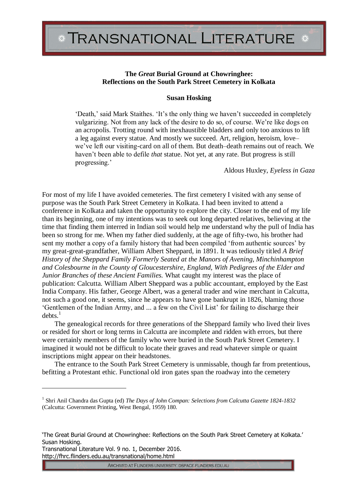## **The** *Great* **Burial Ground at Chowringhee: Reflections on the South Park Street Cemetery in Kolkata**

## **Susan Hosking**

'Death,' said Mark Staithes. 'It's the only thing we haven't succeeded in completely vulgarizing. Not from any lack of the desire to do so, of course. We're like dogs on an acropolis. Trotting round with inexhaustible bladders and only too anxious to lift a leg against every statue. And mostly we succeed. Art, religion, heroism, love– we've left our visiting-card on all of them. But death–death remains out of reach. We haven't been able to defile *that* statue. Not yet, at any rate. But progress is still progressing.'

Aldous Huxley, *Eyeless in Gaza*

For most of my life I have avoided cemeteries. The first cemetery I visited with any sense of purpose was the South Park Street Cemetery in Kolkata. I had been invited to attend a conference in Kolkata and taken the opportunity to explore the city. Closer to the end of my life than its beginning, one of my intentions was to seek out long departed relatives, believing at the time that finding them interred in Indian soil would help me understand why the pull of India has been so strong for me. When my father died suddenly, at the age of fifty-two, his brother had sent my mother a copy of a family history that had been compiled 'from authentic sources' by my great-great-grandfather, William Albert Sheppard, in 1891. It was tediously titled *A Brief History of the Sheppard Family Formerly Seated at the Manors of Avening, Minchinhampton and Colesbourne in the County of Gloucestershire, England, With Pedigrees of the Elder and Junior Branches of these Ancient Families.* What caught my interest was the place of publication: Calcutta. William Albert Sheppard was a public accountant, employed by the East India Company. His father, George Albert, was a general trader and wine merchant in Calcutta, not such a good one, it seems, since he appears to have gone bankrupt in 1826, blaming those 'Gentlemen of the Indian Army, and ... a few on the Civil List' for failing to discharge their  $debts.<sup>1</sup>$ 

The genealogical records for three generations of the Sheppard family who lived their lives or resided for short or long terms in Calcutta are incomplete and ridden with errors, but there were certainly members of the family who were buried in the South Park Street Cemetery. I imagined it would not be difficult to locate their graves and read whatever simple or quaint inscriptions might appear on their headstones.

The entrance to the South Park Street Cemetery is unmissable, though far from pretentious, befitting a Protestant ethic. Functional old iron gates span the roadway into the cemetery

Transnational Literature Vol. 9 no. 1, December 2016. http://fhrc.flinders.edu.au/transnational/home.html

 $\overline{a}$ 

<sup>1</sup> Shri Anil Chandra das Gupta (ed) *The Days of John Compan: Selections from Calcutta Gazette 1824-1832* (Calcutta: Government Printing, West Bengal, 1959) 180.

<sup>&#</sup>x27;The Great Burial Ground at Chowringhee: Reflections on the South Park Street Cemetery at Kolkata.' Susan Hosking.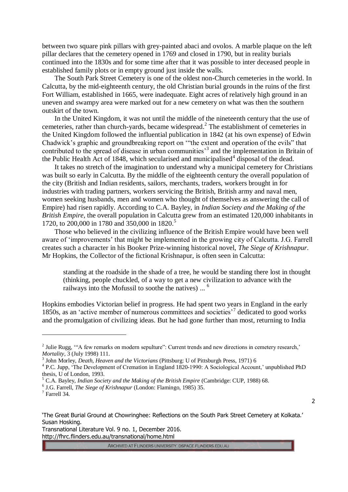between two square pink pillars with grey-painted abaci and ovolos. A marble plaque on the left pillar declares that the cemetery opened in 1769 and closed in 1790, but in reality burials continued into the 1830s and for some time after that it was possible to inter deceased people in established family plots or in empty ground just inside the walls.

The South Park Street Cemetery is one of the oldest non-Church cemeteries in the world. In Calcutta, by the mid-eighteenth century, the old Christian burial grounds in the ruins of the first Fort William, established in 1665, were inadequate. Eight acres of relatively high ground in an uneven and swampy area were marked out for a new cemetery on what was then the southern outskirt of the town.

In the United Kingdom, it was not until the middle of the nineteenth century that the use of cemeteries, rather than church-yards, became widespread. 2 The establishment of cemeteries in the United Kingdom followed the influential publication in 1842 (at his own expense) of Edwin Chadwick's graphic and groundbreaking report on '"the extent and operation of the evils" that contributed to the spread of disease in urban communities<sup>3</sup> and the implementation in Britain of the Public Health Act of 1848, which secularised and municipalised<sup>4</sup> disposal of the dead.

It takes no stretch of the imagination to understand why a municipal cemetery for Christians was built so early in Calcutta. By the middle of the eighteenth century the overall population of the city (British and Indian residents, sailors, merchants, traders, workers brought in for industries with trading partners, workers servicing the British, British army and naval men, women seeking husbands, men and women who thought of themselves as answering the call of Empire) had risen rapidly. According to C.A. Bayley, in *Indian Society and the Making of the British Empire*, the overall population in Calcutta grew from an estimated 120,000 inhabitants in 1720, to 200,000 in 1780 and 350,000 in 1820. 5

Those who believed in the civilizing influence of the British Empire would have been well aware of 'improvements' that might be implemented in the growing city of Calcutta. J.G. Farrell creates such a character in his Booker Prize-winning historical novel, *The Siege of Krishnapur*. Mr Hopkins, the Collector of the fictional Krishnapur, is often seen in Calcutta:

standing at the roadside in the shade of a tree, he would be standing there lost in thought (thinking, people chuckled, of a way to get a new civilization to advance with the railways into the Mofussil to soothe the natives) ...<sup>6</sup>

Hopkins embodies Victorian belief in progress. He had spent two years in England in the early 1850s, as an 'active member of numerous committees and societies'<sup>7</sup> dedicated to good works and the promulgation of civilizing ideas. But he had gone further than most, returning to India

 $\overline{a}$ 

2

'The Great Burial Ground at Chowringhee: Reflections on the South Park Street Cemetery at Kolkata.' Susan Hosking.

Transnational Literature Vol. 9 no. 1, December 2016. http://fhrc.flinders.edu.au/transnational/home.html

<sup>&</sup>lt;sup>2</sup> Julie Rugg, "A few remarks on modern sepulture": Current trends and new directions in cemetery research,' *Mortality*, 3 (July 1998) 111.

<sup>3</sup> John Morley, *Death, Heaven and the Victorians* (Pittsburg: U of Pittsburgh Press, 1971) 6

<sup>&</sup>lt;sup>4</sup> P.C. Jupp, 'The Development of Cremation in England 1820-1990: A Sociological Account,' unpublished PhD thesis, U of London, 1993.

<sup>5</sup> C.A. Bayley, *Indian Society and the Making of the British Empire* (Cambridge: CUP, 1988) 68.

<sup>6</sup> J.G. Farrell, *The Siege of Krishnapur* (London: Flamingo, 1985) 35.

<sup>7</sup> Farrell 34.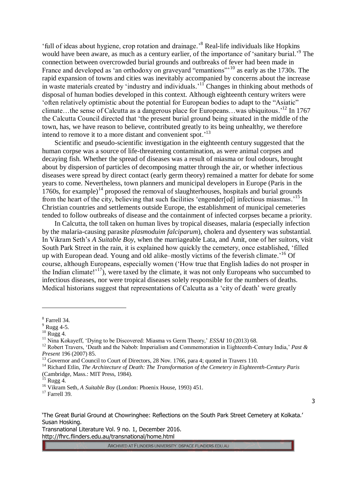'full of ideas about hygiene, crop rotation and drainage.' <sup>8</sup> Real-life individuals like Hopkins would have been aware, as much as a century earlier, of the importance of 'sanitary burial.'<sup>9</sup> The connection between overcrowded burial grounds and outbreaks of fever had been made in France and developed as 'an orthodoxy on graveyard "emantions"<sup>10</sup> as early as the 1730s. The rapid expansion of towns and cities was inevitably accompanied by concerns about the increase in waste materials created by 'industry and individuals.'<sup>11</sup> Changes in thinking about methods of disposal of human bodies developed in this context. Although eighteenth century writers were 'often relatively optimistic about the potential for European bodies to adapt to the "Asiatic" climate…the sense of Calcutta as a dangerous place for Europeans…was ubiquitous.' <sup>12</sup> In 1767 the Calcutta Council directed that 'the present burial ground being situated in the middle of the town, has, we have reason to believe, contributed greatly to its being unhealthy, we therefore intend to remove it to a more distant and convenient spot.'<sup>13</sup>

Scientific and pseudo-scientific investigation in the eighteenth century suggested that the human corpse was a source of life-threatening contamination, as were animal corpses and decaying fish. Whether the spread of diseases was a result of miasma or foul odours, brought about by dispersion of particles of decomposing matter through the air, or whether infectious diseases were spread by direct contact (early germ theory) remained a matter for debate for some years to come. Nevertheless, town planners and municipal developers in Europe (Paris in the  $1760s$ , for example)<sup>14</sup> proposed the removal of slaughterhouses, hospitals and burial grounds from the heart of the city, believing that such facilities 'engender[ed] infectious miasmas.<sup>15</sup> In Christian countries and settlements outside Europe, the establishment of municipal cemeteries tended to follow outbreaks of disease and the containment of infected corpses became a priority.

In Calcutta, the toll taken on human lives by tropical diseases, malaria (especially infection by the malaria-causing parasite *plasmoduim falciparum*), cholera and dysentery was substantial. In Vikram Seth's *A Suitable Boy*, when the marriageable Lata, and Amit, one of her suitors, visit South Park Street in the rain, it is explained how quickly the cemetery, once established, 'filled up with European dead. Young and old alike–mostly victims of the feverish climate.' <sup>16</sup> Of course, although Europeans, especially women ('How true that English ladies do not prosper in the Indian climate! $17$ , were taxed by the climate, it was not only Europeans who succumbed to infectious diseases, nor were tropical diseases solely responsible for the numbers of deaths. Medical historians suggest that representations of Calcutta as a 'city of death' were greatly

 $\overline{a}$ 

3

'The Great Burial Ground at Chowringhee: Reflections on the South Park Street Cemetery at Kolkata.' Susan Hosking.

Transnational Literature Vol. 9 no. 1, December 2016. http://fhrc.flinders.edu.au/transnational/home.html

<sup>8</sup> Farrell 34.

 $9$  Rugg 4-5.

 $^{10}$  Rugg 4.

<sup>&</sup>lt;sup>11</sup> Nina Kokayeff, 'Dying to be Discovered: Miasma vs Germ Theory,' *ESSAI* 10 (2013) 68.

<sup>12</sup> Robert Travers, 'Death and the Nabob: Imperialism and Commemoration in Eighteenth-Century India,' *Past & Present* 196 (2007) 85.

<sup>&</sup>lt;sup>13</sup> Governor and Council to Court of Directors, 28 Nov. 1766, para 4; quoted in Travers 110.

<sup>14</sup> Richard Etlin, *The Architecture of Death: The Transformation of the Cemetery in Eighteenth-Century Paris* (Cambridge, Mass.: MIT Press, 1984).

Rugg 4.

<sup>16</sup> Vikram Seth, *A Suitable Boy* (London: Phoenix House, 1993) 451.

 $17$  Farrell 39.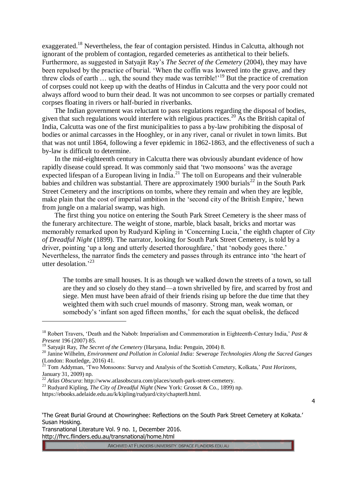exaggerated.<sup>18</sup> Nevertheless, the fear of contagion persisted. Hindus in Calcutta, although not ignorant of the problem of contagion, regarded cemeteries as antithetical to their beliefs. Furthermore, as suggested in Satyajit Ray's *The Secret of the Cemetery* (2004), they may have been repulsed by the practice of burial. 'When the coffin was lowered into the grave, and they threw clods of earth  $\ldots$  ugh, the sound they made was terrible!<sup>19</sup> But the practice of cremation of corpses could not keep up with the deaths of Hindus in Calcutta and the very poor could not always afford wood to burn their dead. It was not uncommon to see corpses or partially cremated corpses floating in rivers or half-buried in riverbanks.

The Indian government was reluctant to pass regulations regarding the disposal of bodies, given that such regulations would interfere with religious practices.<sup>20</sup> As the British capital of India, Calcutta was one of the first municipalities to pass a by-law prohibiting the disposal of bodies or animal carcasses in the Hooghley, or in any river, canal or rivulet in town limits. But that was not until 1864, following a fever epidemic in 1862-1863, and the effectiveness of such a by-law is difficult to determine.

In the mid-eighteenth century in Calcutta there was obviously abundant evidence of how rapidly disease could spread. It was commonly said that 'two monsoons' was the average expected lifespan of a European living in India. $^{21}$  The toll on Europeans and their vulnerable babies and children was substantial. There are approximately 1900 burials<sup>22</sup> in the South Park Street Cemetery and the inscriptions on tombs, where they remain and when they are legible, make plain that the cost of imperial ambition in the 'second city of the British Empire,' hewn from jungle on a malarial swamp, was high.

The first thing you notice on entering the South Park Street Cemetery is the sheer mass of the funerary architecture. The weight of stone, marble, black basalt, bricks and mortar was memorably remarked upon by Rudyard Kipling in 'Concerning Lucia,' the eighth chapter of *City of Dreadful Night* (1899). The narrator, looking for South Park Street Cemetery, is told by a driver, pointing 'up a long and utterly deserted thoroughfare,' that 'nobody goes there.' Nevertheless, the narrator finds the cemetery and passes through its entrance into 'the heart of utter desolation<sup>23</sup>

The tombs are small houses. It is as though we walked down the streets of a town, so tall are they and so closely do they stand—a town shrivelled by fire, and scarred by frost and siege. Men must have been afraid of their friends rising up before the due time that they weighted them with such cruel mounds of masonry. Strong man, weak woman, or somebody's 'infant son aged fifteen months,' for each the squat obelisk, the defaced

<sup>23</sup> Rudyard Kipling, *The City of Dreadful Night* (New York: Grosset & Co., 1899) np.

https://ebooks.adelaide.edu.au/k/kipling/rudyard/city/chapter8.html.

4

Transnational Literature Vol. 9 no. 1, December 2016. http://fhrc.flinders.edu.au/transnational/home.html

 $\overline{a}$ 

<sup>18</sup> Robert Travers, 'Death and the Nabob: Imperialism and Commemoration in Eighteenth-Century India,' *Past & Present* 196 (2007) 85.

<sup>19</sup> Satyajit Ray, *The Secret of the Cemetery* (Haryana, India: Penguin, 2004) 8.

<sup>20</sup> Janine Wilhelm, *Environment and Pollution in Colonial India: Sewerage Technologies Along the Sacred Ganges* (London: Routledge, 2016) 41.

<sup>21</sup> Tom Addyman, 'Two Monsoons: Survey and Analysis of the Scottish Cemetery, Kolkata,' *Past Horizons*, January 31, 2009) np.

<sup>22</sup> *Atlas Obscura*: http://www.atlasobscura.com/places/south-park-street-cemetery.

<sup>&#</sup>x27;The Great Burial Ground at Chowringhee: Reflections on the South Park Street Cemetery at Kolkata.' Susan Hosking.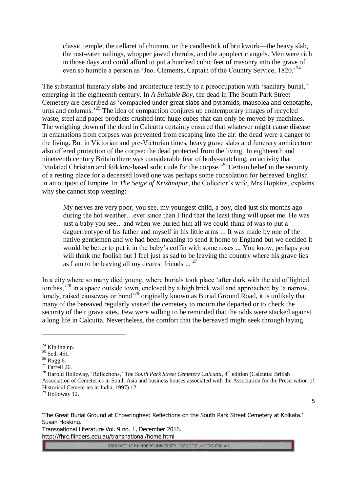classic temple, the cellaret of chunam, or the candlestick of brickwork—the heavy slab, the rust-eaten railings, whopper jawed cherubs, and the apoplectic angels. Men were rich in those days and could afford to put a hundred cubic feet of masonry into the grave of even so humble a person as 'Jno. Clements, Captain of the Country Service, 1820.<sup>24</sup>

The substantial funerary slabs and architecture testify to a preoccupation with 'sanitary burial,' emerging in the eighteenth century. In *A Suitable Boy*, the dead in The South Park Street Cemetery are described as 'compacted under great slabs and pyramids, mausolea and cenotaphs, urns and columns.<sup>25</sup> The idea of compaction conjures up contemporary images of recycled waste, steel and paper products crushed into huge cubes that can only be moved by machines. The weighing down of the dead in Calcutta certainly ensured that whatever might cause disease in emanations from corpses was prevented from escaping into the air: the dead were a danger to the living. But in Victorian and pre-Victorian times, heavy grave slabs and funerary architecture also offered protection of the corpse: the dead protected from the living. In eighteenth and nineteenth century Britain there was considerable fear of body-snatching, an activity that 'violated Christian and folklore-based solicitude for the corpse.<sup>26</sup> Certain belief in the security of a resting place for a deceased loved one was perhaps some consolation for bereaved English in an outpost of Empire. In *The Seige of Krishnapur*, the Collector's wife, Mrs Hopkins, explains why she cannot stop weeping:

My nerves are very poor, you see, my youngest child, a boy, died just six months ago during the hot weather…ever since then I find that the least thing will upset me. He was just a baby you see…and when we buried him all we could think of was to put a daguerreotype of his father and myself in his little arms ... It was made by one of the native gentlemen and we had been meaning to send it home to England but we decided it would be better to put it in the baby's coffin with some roses ... You know, perhaps you will think me foolish but I feel just as sad to be leaving the country where his grave lies as I am to be leaving all my dearest friends  $\ldots$ <sup>27</sup>

In a city where so many died young, where burials took place 'after dark with the aid of lighted torches,<sup>28</sup> in a space outside town, enclosed by a high brick wall and approached by 'a narrow, lonely, raised causeway or bund<sup>29</sup> originally known as Burial Ground Road, it is unlikely that many of the bereaved regularly visited the cemetery to mourn the departed or to check the security of their grave sites. Few were willing to be reminded that the odds were stacked against a long life in Calcutta. Nevertheless, the comfort that the bereaved might seek through laying

 $\overline{a}$ 

5

'The Great Burial Ground at Chowringhee: Reflections on the South Park Street Cemetery at Kolkata.' Susan Hosking.

Transnational Literature Vol. 9 no. 1, December 2016. http://fhrc.flinders.edu.au/transnational/home.html

<sup>&</sup>lt;sup>24</sup> Kipling np.

 $^{25}$  Seth 451.

 $26$  Rugg 6.

 $27$  Farrell 26.

<sup>&</sup>lt;sup>28</sup> Harold Holloway, 'Reflections,' *The South Park Street Cemetery Calcutta*, 4<sup>th</sup> edition (Calcutta: British Association of Cemeteries in South Asia and business houses associated with the Association for the Preservation of Historical Cemeteries in India, 1997) 12.

<sup>29</sup> Holloway 12.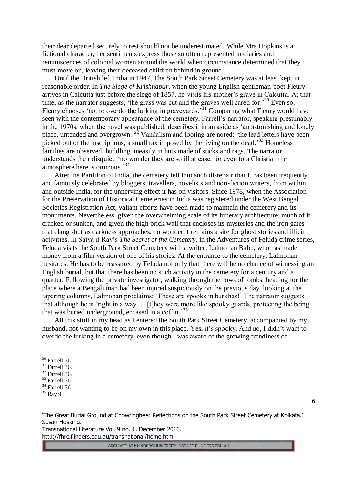their dear departed securely to rest should not be underestimated. While Mrs Hopkins is a fictional character, her sentiments express those so often represented in diaries and reminiscences of colonial women around the world when circumstance determined that they must move on, leaving their deceased children behind in ground.

Until the British left India in 1947, The South Park Street Cemetery was at least kept in reasonable order. In *The Siege of Krishnapur*, when the young English gentleman-poet Fleury arrives in Calcutta just before the siege of 1857, he visits his mother's grave in Calcutta. At that time, as the narrator suggests, 'the grass was cut and the graves well cared for.<sup>30</sup> Even so, Fleury chooses 'not to overdo the lurking in graveyards.<sup>31</sup> Comparing what Fleury would have seen with the contemporary appearance of the cemetery, Farrell's narrator, speaking presumably in the 1970s, when the novel was published, describes it in an aside as 'an astonishing and lonely place, untended and overgrown.<sup>32</sup> Vandalism and looting are noted: 'the lead letters have been picked out of the inscriptions, a small tax imposed by the living on the dead.<sup>33</sup> Homeless families are observed, huddling uneasily in huts made of sticks and rags. The narrator understands their disquiet: 'no wonder they are so ill at ease, for even to a Christian the atmosphere here is ominous.'<sup>34</sup>

After the Partition of India, the cemetery fell into such disrepair that it has been frequently and famously celebrated by bloggers, travellers, novelists and non-fiction writers, from within and outside India, for the unnerving effect it has on visitors. Since 1978, when the Association for the Preservation of Historical Cemeteries in India was registered under the West Bengal Societies Registration Act, valiant efforts have been made to maintain the cemetery and its monuments. Nevertheless, given the overwhelming scale of its funerary architecture, much of it cracked or sunken, and given the high brick wall that encloses its mysteries and the iron gates that clang shut as darkness approaches, no wonder it remains a site for ghost stories and illicit activities. In Satyajit Ray's *The Secret of the Cemetery*, in the Adventures of Feluda crime series, Feluda visits the South Park Street Cemetery with a writer, Lalmohan Babu, who has made money from a film version of one of his stories. At the entrance to the cemetery, Lalmohan hesitates. He has to be reassured by Feluda not only that there will be no chance of witnessing an English burial, but that there has been no such activity in the cemetery for a century and a quarter. Following the private investigator, walking through the rows of tombs, heading for the place where a Bengali man had been injured suspiciously on the previous day, looking at the tapering columns, Lalmohan proclaims: 'These are spooks in burkhas!' The narrator suggests that although he is 'right in a way … [t]hey were more like spooky guards, protecting the being that was buried underground, encased in a coffin.' 35

All this stuff in my head as I entered the South Park Street Cemetery, accompanied by my husband, not wanting to be on my own in this place. Yes, it's spooky. And no, I didn't want to overdo the lurking in a cemetery, even though I was aware of the growing trendiness of

 $\overline{a}$ 

6

'The Great Burial Ground at Chowringhee: Reflections on the South Park Street Cemetery at Kolkata.' Susan Hosking.

Transnational Literature Vol. 9 no. 1, December 2016. http://fhrc.flinders.edu.au/transnational/home.html

<sup>30</sup> Farrell 36.

 $31$  Farrell 36. <sup>32</sup> Farrell 36.

 $33$  Farrell 36.

 $34$  Farrell 36.

<sup>35</sup> Ray 9.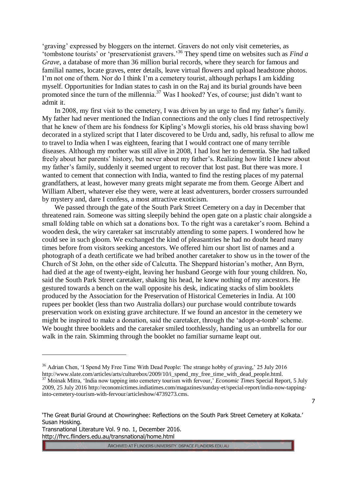'graving' expressed by bloggers on the internet. Gravers do not only visit cemeteries, as 'tombstone tourists' or 'preservationist gravers.' <sup>36</sup> They spend time on websites such as *Find a Grave*, a database of more than 36 million burial records, where they search for famous and familial names, locate graves, enter details, leave virtual flowers and upload headstone photos. I'm not one of them. Nor do I think I'm a cemetery tourist, although perhaps I am kidding myself. Opportunities for Indian states to cash in on the Raj and its burial grounds have been promoted since the turn of the millennia.<sup>37</sup> Was I hooked? Yes, of course; just didn't want to admit it.

In 2008, my first visit to the cemetery, I was driven by an urge to find my father's family. My father had never mentioned the Indian connections and the only clues I find retrospectively that he knew of them are his fondness for Kipling's Mowgli stories, his old brass shaving bowl decorated in a stylized script that I later discovered to be Urdu and, sadly, his refusal to allow me to travel to India when I was eighteen, fearing that I would contract one of many terrible diseases. Although my mother was still alive in 2008, I had lost her to dementia. She had talked freely about her parents' history, but never about my father's. Realizing how little I knew about my father's family, suddenly it seemed urgent to recover that lost past. But there was more. I wanted to cement that connection with India, wanted to find the resting places of my paternal grandfathers, at least, however many greats might separate me from them. George Albert and William Albert, whatever else they were, were at least adventurers, border crossers surrounded by mystery and, dare I confess, a most attractive exoticism.

We passed through the gate of the South Park Street Cemetery on a day in December that threatened rain. Someone was sitting sleepily behind the open gate on a plastic chair alongside a small folding table on which sat a donations box. To the right was a caretaker's room. Behind a wooden desk, the wiry caretaker sat inscrutably attending to some papers. I wondered how he could see in such gloom. We exchanged the kind of pleasantries he had no doubt heard many times before from visitors seeking ancestors. We offered him our short list of names and a photograph of a death certificate we had bribed another caretaker to show us in the tower of the Church of St John, on the other side of Calcutta. The Sheppard historian's mother, Ann Byrn, had died at the age of twenty-eight, leaving her husband George with four young children. No, said the South Park Street caretaker, shaking his head, he knew nothing of my ancestors. He gestured towards a bench on the wall opposite his desk, indicating stacks of slim booklets produced by the Association for the Preservation of Historical Cemeteries in India. At 100 rupees per booklet (less than two Australia dollars) our purchase would contribute towards preservation work on existing grave architecture. If we found an ancestor in the cemetery we might be inspired to make a donation, said the caretaker, through the 'adopt-a-tomb' scheme. We bought three booklets and the caretaker smiled toothlessly, handing us an umbrella for our walk in the rain. Skimming through the booklet no familiar surname leapt out.

Transnational Literature Vol. 9 no. 1, December 2016. http://fhrc.flinders.edu.au/transnational/home.html

 $\overline{a}$ 

ARCHIVED AT FLINDERS UNIVERSITY: DSPACE.FLINDERS.EDU.AU

7

<sup>&</sup>lt;sup>36</sup> Adrian Chen, 'I Spend My Free Time With Dead People: The strange hobby of graving,' 25 July 2016 http://www.slate.com/articles/arts/culturebox/2009/10/i\_spend\_my\_free\_time\_with\_dead\_people.html.

<sup>&</sup>lt;sup>37</sup> Moinak Mitra, 'India now tapping into cemetery tourism with fervour,' *Economic Times* Special Report, 5 July 2009, 25 July 2016 http://economictimes.indiatimes.com/magazines/sunday-et/special-report/india-now-tappinginto-cemetery-tourism-with-fervour/articleshow/4739273.cms.

<sup>&#</sup>x27;The Great Burial Ground at Chowringhee: Reflections on the South Park Street Cemetery at Kolkata.' Susan Hosking.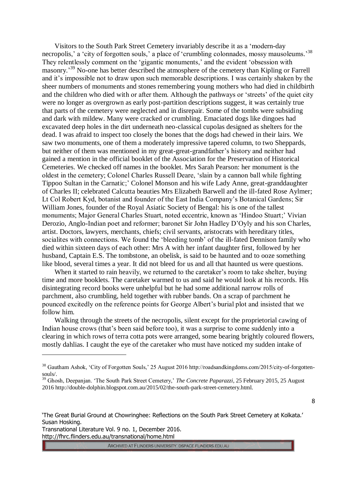Visitors to the South Park Street Cemetery invariably describe it as a 'modern-day necropolis,' a 'city of forgotten souls,' a place of 'crumbling colonnades, mossy mausoleums.<sup>38</sup> They relentlessly comment on the 'gigantic monuments,' and the evident 'obsession with masonry.<sup>39</sup> No-one has better described the atmosphere of the cemetery than Kipling or Farrell and it's impossible not to draw upon such memorable descriptions. I was certainly shaken by the sheer numbers of monuments and stones remembering young mothers who had died in childbirth and the children who died with or after them. Although the pathways or 'streets' of the quiet city were no longer as overgrown as early post-partition descriptions suggest, it was certainly true that parts of the cemetery were neglected and in disrepair. Some of the tombs were subsiding and dark with mildew. Many were cracked or crumbling. Emaciated dogs like dingoes had excavated deep holes in the dirt underneath neo-classical cupolas designed as shelters for the dead. I was afraid to inspect too closely the bones that the dogs had chewed in their lairs. We saw two monuments, one of them a moderately impressive tapered column, to two Sheppards, but neither of them was mentioned in my great-great-grandfather's history and neither had gained a mention in the official booklet of the Association for the Preservation of Historical Cemeteries. We checked off names in the booklet. Mrs Sarah Pearson: her monument is the oldest in the cemetery; Colonel Charles Russell Deare, 'slain by a cannon ball while fighting Tippoo Sultan in the Carnatic;' Colonel Monson and his wife Lady Anne, great-granddaughter of Charles II; celebrated Calcutta beauties Mrs Elizabeth Barwell and the ill-fated Rose Aylmer; Lt Col Robert Kyd, botanist and founder of the East India Company's Botanical Gardens; Sir William Jones, founder of the Royal Asiatic Society of Bengal: his is one of the tallest monuments; Major General Charles Stuart, noted eccentric, known as 'Hindoo Stuart;' Vivian Derozio, Anglo-Indian poet and reformer; baronet Sir John Hadley D'Oyly and his son Charles, artist. Doctors, lawyers, merchants, chiefs; civil servants, aristocrats with hereditary titles, socialites with connections. We found the 'bleeding tomb' of the ill-fated Dennison family who died within sixteen days of each other: Mrs A with her infant daughter first, followed by her husband, Captain E.S. The tombstone, an obelisk, is said to be haunted and to ooze something like blood, several times a year. It did not bleed for us and all that haunted us were questions.

When it started to rain heavily, we returned to the caretaker's room to take shelter, buying time and more booklets. The caretaker warmed to us and said he would look at his records. His disintegrating record books were unhelpful but he had some additional narrow rolls of parchment, also crumbling, held together with rubber bands. On a scrap of parchment he pounced excitedly on the reference points for George Albert's burial plot and insisted that we follow him.

Walking through the streets of the necropolis, silent except for the proprietorial cawing of Indian house crows (that's been said before too), it was a surprise to come suddenly into a clearing in which rows of terra cotta pots were arranged, some bearing brightly coloured flowers, mostly dahlias. I caught the eye of the caretaker who must have noticed my sudden intake of

Transnational Literature Vol. 9 no. 1, December 2016. http://fhrc.flinders.edu.au/transnational/home.html

 $\overline{a}$ 

<sup>&</sup>lt;sup>38</sup> Gautham Ashok, 'City of Forgotten Souls,' 25 August 2016 http://roadsandkingdoms.com/2015/city-of-forgottensouls/.

<sup>&</sup>lt;sup>39</sup> Ghosh, Deepanjan. 'The South Park Street Cemetery,' *The Concrete Paparazzi*, 25 February 2015, 25 August 2016 http://double-dolphin.blogspot.com.au/2015/02/the-south-park-street-cemetery.html.

<sup>8</sup>

<sup>&#</sup>x27;The Great Burial Ground at Chowringhee: Reflections on the South Park Street Cemetery at Kolkata.' Susan Hosking.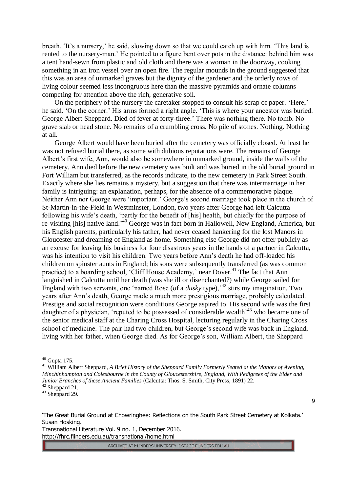breath. 'It's a nursery,' he said, slowing down so that we could catch up with him. 'This land is rented to the nursery-man.' He pointed to a figure bent over pots in the distance: behind him was a tent hand-sewn from plastic and old cloth and there was a woman in the doorway, cooking something in an iron vessel over an open fire. The regular mounds in the ground suggested that this was an area of unmarked graves but the dignity of the gardener and the orderly rows of living colour seemed less incongruous here than the massive pyramids and ornate columns competing for attention above the rich, generative soil.

On the periphery of the nursery the caretaker stopped to consult his scrap of paper. 'Here,' he said. 'On the corner.' His arms formed a right angle. 'This is where your ancestor was buried. George Albert Sheppard. Died of fever at forty-three.' There was nothing there. No tomb. No grave slab or head stone. No remains of a crumbling cross. No pile of stones. Nothing. Nothing at all.

George Albert would have been buried after the cemetery was officially closed. At least he was not refused burial there, as some with dubious reputations were. The remains of George Albert's first wife, Ann, would also be somewhere in unmarked ground, inside the walls of the cemetery. Ann died before the new cemetery was built and was buried in the old burial ground in Fort William but transferred, as the records indicate, to the new cemetery in Park Street South. Exactly where she lies remains a mystery, but a suggestion that there was intermarriage in her family is intriguing: an explanation, perhaps, for the absence of a commemorative plaque. Neither Ann nor George were 'important.' George's second marriage took place in the church of St-Martin-in-the-Field in Westminster, London, two years after George had left Calcutta following his wife's death, 'partly for the benefit of [his] health, but chiefly for the purpose of re-visiting [his] native land.<sup>540</sup> George was in fact born in Hallowell, New England, America, but his English parents, particularly his father, had never ceased hankering for the lost Manors in Gloucester and dreaming of England as home. Something else George did not offer publicly as an excuse for leaving his business for four disastrous years in the hands of a partner in Calcutta, was his intention to visit his children. Two years before Ann's death he had off-loaded his children on spinster aunts in England; his sons were subsequently transferred (as was common practice) to a boarding school, 'Cliff House Academy,' near Dover.<sup>41</sup> The fact that Ann languished in Calcutta until her death (was she ill or disenchanted?) while George sailed for England with two servants, one 'named Rose (of a *dusky* type),<sup>42</sup> stirs my imagination. Two years after Ann's death, George made a much more prestigious marriage, probably calculated. Prestige and social recognition were conditions George aspired to. His second wife was the first daughter of a physician, 'reputed to be possessed of considerable wealth<sup>{43}</sup> who became one of the senior medical staff at the Charing Cross Hospital, lecturing regularly in the Charing Cross school of medicine. The pair had two children, but George's second wife was back in England, living with her father, when George died. As for George's son, William Albert, the Sheppard

 $\overline{a}$ 

9

Transnational Literature Vol. 9 no. 1, December 2016. http://fhrc.flinders.edu.au/transnational/home.html

 $40$  Gupta 175.

<sup>&</sup>lt;sup>41</sup> William Albert Sheppard, *A Brief History of the Sheppard Family Formerly Seated at the Manors of Avening, Minchinhampton and Colesbourne in the County of Gloucestershire, England, With Pedigrees of the Elder and Junior Branches of these Ancient Families* (Calcutta: Thos. S. Smith, City Press, 1891) 22.  $42$  Sheppard 21.

 $43$  Sheppard 29.

<sup>&#</sup>x27;The Great Burial Ground at Chowringhee: Reflections on the South Park Street Cemetery at Kolkata.' Susan Hosking.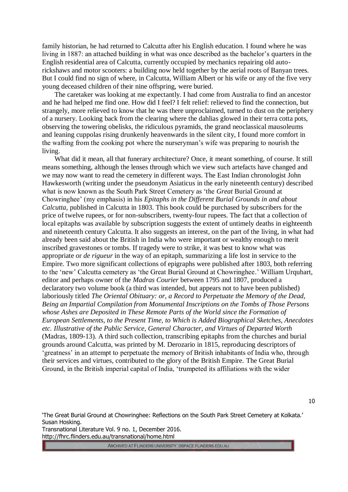family historian, he had returned to Calcutta after his English education. I found where he was living in 1887: an attached building in what was once described as the bachelor's quarters in the English residential area of Calcutta, currently occupied by mechanics repairing old autorickshaws and motor scooters: a building now held together by the aerial roots of Banyan trees. But I could find no sign of where, in Calcutta, William Albert or his wife or any of the five very young deceased children of their nine offspring, were buried.

The caretaker was looking at me expectantly. I had come from Australia to find an ancestor and he had helped me find one. How did I feel? I felt relief: relieved to find the connection, but strangely, more relieved to know that he was there unproclaimed, turned to dust on the periphery of a nursery. Looking back from the clearing where the dahlias glowed in their terra cotta pots, observing the towering obelisks, the ridiculous pyramids, the grand neoclassical mausoleums and leaning cuppolas rising drunkenly heavenwards in the silent city, I found more comfort in the wafting from the cooking pot where the nurseryman's wife was preparing to nourish the living.

What did it mean, all that funerary architecture? Once, it meant something, of course. It still means something, although the lenses through which we view such artefacts have changed and we may now want to read the cemetery in different ways. The East Indian chronologist John Hawkesworth (writing under the pseudonym Asiaticus in the early nineteenth century) described what is now known as the South Park Street Cemetery as 'the *Great* Burial Ground at Chowringhee' (my emphasis) in his *Epitaphs in the Different Burial Grounds in and about Calcutta,* published in Calcutta in 1803. This book could be purchased by subscribers for the price of twelve rupees, or for non-subscribers, twenty-four rupees. The fact that a collection of local epitaphs was available by subscription suggests the extent of untimely deaths in eighteenth and nineteenth century Calcutta. It also suggests an interest, on the part of the living, in what had already been said about the British in India who were important or wealthy enough to merit inscribed gravestones or tombs. If tragedy were to strike, it was best to know what was appropriate or *de rigueur* in the way of an epitaph, summarizing a life lost in service to the Empire. Two more significant collections of epigraphs were published after 1803, both referring to the 'new' Calcutta cemetery as 'the Great Burial Ground at Chowringhee.' William Urquhart, editor and perhaps owner of the *Madras Courier* between 1795 and 1807, produced a declaratory two volume book (a third was intended, but appears not to have been published) laboriously titled *The Oriental Obituary: or, a Record to Perpetuate the Memory of the Dead, Being an Impartial Compilation from Monumental Inscriptions on the Tombs of Those Persons whose Ashes are Deposited in These Remote Parts of the World since the Formation of European Settlements, to the Present Time, to Which is Added Biographical Sketches, Anecdotes etc. Illustrative of the Public Service, General Character, and Virtues of Departed Worth* (Madras, 1809-13). A third such collection, transcribing epitaphs from the churches and burial grounds around Calcutta, was printed by M. Derozario in 1815, reproducing descriptors of 'greatness' in an attempt to perpetuate the memory of British inhabitants of India who, through their services and virtues, contributed to the glory of the British Empire. The Great Burial Ground, in the British imperial capital of India, 'trumpeted its affiliations with the wider

'The Great Burial Ground at Chowringhee: Reflections on the South Park Street Cemetery at Kolkata.' Susan Hosking.

Transnational Literature Vol. 9 no. 1, December 2016. http://fhrc.flinders.edu.au/transnational/home.html

ARCHIVED AT FLINDERS UNIVERSITY: DSPACE.FLINDERS.EDU.AU

10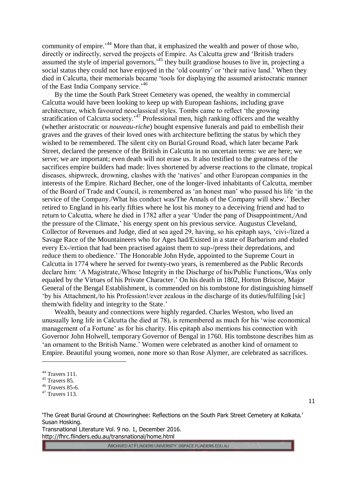community of empire.<sup>144</sup> More than that, it emphasized the wealth and power of those who, directly or indirectly, served the projects of Empire. As Calcutta grew and 'British traders assumed the style of imperial governors,<sup>45</sup> they built grandiose houses to live in, projecting a social status they could not have enjoyed in the 'old country' or 'their native land.' When they died in Calcutta, their memorials became 'tools for displaying the assumed aristocratic manner of the East India Company service.'<sup>46</sup>

By the time the South Park Street Cemetery was opened, the wealthy in commercial Calcutta would have been looking to keep up with European fashions, including grave architecture, which favoured neoclassical styles. Tombs came to reflect 'the growing stratification of Calcutta society.<sup>47</sup> Professional men, high ranking officers and the wealthy (whether aristocratic or *nouveau-riche*) bought expensive funerals and paid to embellish their graves and the graves of their loved ones with architecture befitting the status by which they wished to be remembered. The silent city on Burial Ground Road, which later became Park Street, declared the presence of the British in Calcutta in no uncertain terms: we are here; we serve; we are important; even death will not erase us. It also testified to the greatness of the sacrifices empire builders had made: lives shortened by adverse reactions to the climate, tropical diseases, shipwreck, drowning, clashes with the 'natives' and other European companies in the interests of the Empire. Richard Becher, one of the longer-lived inhabitants of Calcutta, member of the Board of Trade and Council, is remembered as 'an honest man' who passed his life 'in the service of the Company./What his conduct was/The Annals of the Company will shew.' Becher retired to England in his early fifties where he lost his money to a deceiving friend and had to return to Calcutta, where he died in 1782 after a year 'Under the pang of Disappointment,/And the pressure of the Climate,' his energy spent on his previous service. Augustus Cleveland, Collector of Revenues and Judge, died at sea aged 29, having, so his epitaph says, 'civi-/lized a Savage Race of the Mountaineers who for Ages had/Existed in a state of Barbarism and eluded every Ex-/ertion that had been practised against them to sup-/press their depredations, and reduce them to obedience.' The Honorable John Hyde, appointed to the Supreme Court in Calcutta in 1774 where he served for twenty-two years, is remembered as the Public Records declare him: 'A Magistrate,/Whose Integrity in the Discharge of his/Public Functions,/Was only equaled by the Virtues of his Private Character.' On his death in 1802, Horton Briscoe, Major General of the Bengal Establishment, is commended on his tombstone for distinguishing himself 'by his Attachment,/to his Profession!/ever zealous in the discharge of its duties/fulfiling [sic] them/with fidelity and integrity to the State.'

Wealth, beauty and connections were highly regarded. Charles Weston, who lived an unusually long life in Calcutta (he died at 78), is remembered as much for his 'wise economical management of a Fortune' as for his charity. His epitaph also mentions his connection with Governor John Holwell, temporary Governor of Bengal in 1760. His tombstone describes him as 'an ornament to the British Name.' Women were celebrated as another kind of ornament to Empire. Beautiful young women, none more so than Rose Alymer, are celebrated as sacrifices.

 $\overline{a}$ 

11

'The Great Burial Ground at Chowringhee: Reflections on the South Park Street Cemetery at Kolkata.' Susan Hosking.

Transnational Literature Vol. 9 no. 1, December 2016. http://fhrc.flinders.edu.au/transnational/home.html

<sup>44</sup> Travers 111.

 $45$  Travers 85.

 $46$  Travers 85-6.

 $47$  Travers 113.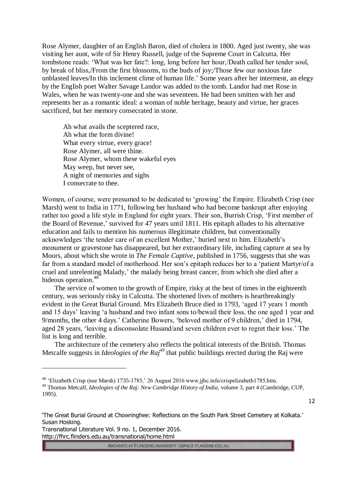Rose Alymer, daughter of an English Baron, died of cholera in 1800. Aged just twenty, she was visiting her aunt, wife of Sir Henry Russell, judge of the Supreme Court in Calcutta. Her tombstone reads: 'What was her fate?: long, long before her hour,/Death called her tender soul, by break of bliss,/From the first blossoms, to the buds of joy;/Those few our noxious fate unblasted leaves/In this inclement clime of human life.' Some years after her interment, an elegy by the English poet Walter Savage Landor was added to the tomb. Landor had met Rose in Wales, when he was twenty-one and she was seventeen. He had been smitten with her and represents her as a romantic ideal: a woman of noble heritage, beauty and virtue, her graces sacrificed, but her memory consecrated in stone.

Ah what avails the sceptered race, Ah what the form divine! What every virtue, every grace! Rose Alymer, all were thine. Rose Alymer, whom these wakeful eyes May weep, but never see, A night of memories and sighs I consecrate to thee.

Women, of course, were presumed to be dedicated to 'growing' the Empire. Elizabeth Crisp (nee Marsh) went to India in 1771, following her husband who had become bankrupt after enjoying rather too good a life style in England for eight years. Their son, Burrish Crisp, 'First member of the Board of Revenue,' survived for 47 years until 1811. His epitaph alludes to his alternative education and fails to mention his numerous illegitimate children, but conventionally acknowledges 'the tender care of an excellent Mother,' buried next to him. Elizabeth's monument or gravestone has disappeared, but her extraordinary life, including capture at sea by Moors, about which she wrote in *The Female Captive*, published in 1756, suggests that she was far from a standard model of motherhood. Her son's epitaph reduces her to a 'patient Martyr/of a cruel and unrelenting Malady,' the malady being breast cancer, from which she died after a hideous operation.<sup>48</sup>

The service of women to the growth of Empire, risky at the best of times in the eighteenth century, was seriously risky in Calcutta. The shortened lives of mothers is heartbreakingly evident in the Great Burial Ground. Mrs Elizabeth Bruce died in 1793, 'aged 17 years 1 month and 15 days' leaving 'a husband and two infant sons to/bewail their loss, the one aged 1 year and 9/months, the other 4 days.' Catherine Bowers, 'beloved mother of 9 children,' died in 1794, aged 28 years, 'leaving a disconsolate Husand/and seven children ever to regret their loss.' The list is long and terrible.

The architecture of the cemetery also reflects the political interests of the British. Thomas Metcalfe suggests in *Ideologies of the Raj<sup>49</sup>* that public buildings erected during the Raj were

12

Transnational Literature Vol. 9 no. 1, December 2016. http://fhrc.flinders.edu.au/transnational/home.html

 $\overline{a}$ 

<sup>48</sup> 'Elizabeth Crisp (nee Marsh) 1735-1785,' 26 August 2016 www.jjhc.info/crispelizabeth1785.htm.

<sup>49</sup> Thomas Metcalf, *Ideologies of the Raj: New Cambridge History of India,* volume 3, part 4 (Cambridge, CUP, 1995).

<sup>&#</sup>x27;The Great Burial Ground at Chowringhee: Reflections on the South Park Street Cemetery at Kolkata.' Susan Hosking.

ARCHIVED AT FLINDERS UNIVERSITY: DSPACE.FLINDERS.EDU.AU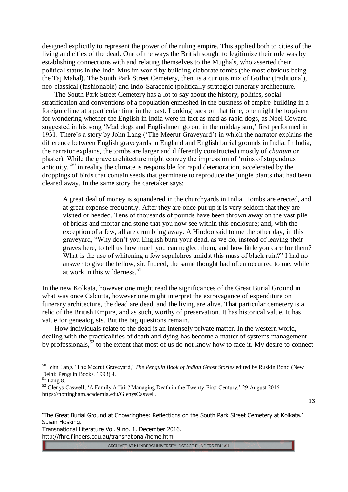designed explicitly to represent the power of the ruling empire. This applied both to cities of the living and cities of the dead. One of the ways the British sought to legitimize their rule was by establishing connections with and relating themselves to the Mughals, who asserted their political status in the Indo-Muslim world by building elaborate tombs (the most obvious being the Taj Mahal). The South Park Street Cemetery, then, is a curious mix of Gothic (traditional), neo-classical (fashionable) and Indo-Saracenic (politically strategic) funerary architecture.

The South Park Street Cemetery has a lot to say about the history, politics, social stratification and conventions of a population enmeshed in the business of empire-building in a foreign clime at a particular time in the past. Looking back on that time, one might be forgiven for wondering whether the English in India were in fact as mad as rabid dogs, as Noel Coward suggested in his song 'Mad dogs and Englishmen go out in the midday sun,' first performed in 1931. There's a story by John Lang ('The Meerut Graveyard') in which the narrator explains the difference between English graveyards in England and English burial grounds in India. In India, the narrator explains, the tombs are larger and differently constructed (mostly of *chunum* or plaster). While the grave architecture might convey the impression of 'ruins of stupendous antiquity,<sup>50</sup> in reality the climate is responsible for rapid deterioration, accelerated by the droppings of birds that contain seeds that germinate to reproduce the jungle plants that had been cleared away. In the same story the caretaker says:

A great deal of money is squandered in the churchyards in India. Tombs are erected, and at great expense frequently. After they are once put up it is very seldom that they are visited or heeded. Tens of thousands of pounds have been thrown away on the vast pile of bricks and mortar and stone that you now see within this enclosure; and, with the exception of a few, all are crumbling away. A Hindoo said to me the other day, in this graveyard, "Why don't you English burn your dead, as we do, instead of leaving their graves here, to tell us how much you can neglect them, and how little you care for them? What is the use of whitening a few sepulchres amidst this mass of black ruin?" I had no answer to give the fellow, sir. Indeed, the same thought had often occurred to me, while at work in this wilderness. $51$ 

In the new Kolkata, however one might read the significances of the Great Burial Ground in what was once Calcutta, however one might interpret the extravagance of expenditure on funerary architecture, the dead are dead, and the living are alive. That particular cemetery is a relic of the British Empire, and as such, worthy of preservation. It has historical value. It has value for genealogists. But the big questions remain.

How individuals relate to the dead is an intensely private matter. In the western world, dealing with the practicalities of death and dying has become a matter of systems management by professionals,  $52$  to the extent that most of us do not know how to face it. My desire to connect

 $\overline{a}$ 

13

Transnational Literature Vol. 9 no. 1, December 2016. http://fhrc.flinders.edu.au/transnational/home.html

<sup>50</sup> John Lang, 'The Meerut Graveyard,' *The Penguin Book of Indian Ghost Stories* edited by Ruskin Bond (New Delhi: Penguin Books, 1993) 4.

 $51$  Lang 8.

<sup>&</sup>lt;sup>52</sup> Glenys Caswell, 'A Family Affair? Managing Death in the Twenty-First Century,' 29 August 2016 https://nottingham.academia.edu/GlenysCaswell.

<sup>&#</sup>x27;The Great Burial Ground at Chowringhee: Reflections on the South Park Street Cemetery at Kolkata.' Susan Hosking.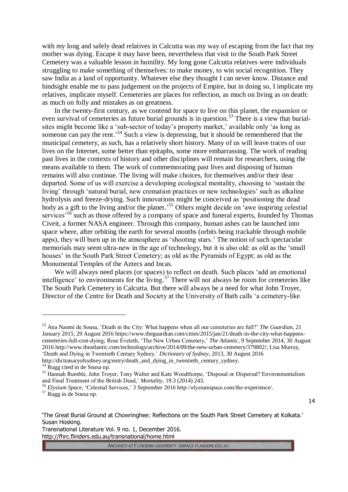with my long and safely dead relatives in Calcutta was my way of escaping from the fact that my mother was dying. Escape it may have been, nevertheless that visit to the South Park Street Cemetery was a valuable lesson in humility. My long gone Calcutta relatives were individuals struggling to make something of themselves: to make money, to win social recognition. They saw India as a land of opportunity. Whatever else they thought I can never know. Distance and hindsight enable me to pass judgement on the projects of Empire, but in doing so, I implicate my relatives, implicate myself. Cemeteries are places for reflection, as much on living as on death: as much on folly and mistakes as on greatness.

In the twenty-first century, as we contend for space to live on this planet, the expansion or even survival of cemeteries as future burial grounds is in question.<sup>53</sup> There is a view that burialsites might become like a 'sub-sector of today's property market,' available only 'as long as someone can pay the rent.<sup>54</sup> Such a view is depressing, but it should be remembered that the municipal cemetery, as such, has a relatively short history. Many of us will leave traces of our lives on the Internet, some better than epitaphs, some more embarrassing. The work of reading past lives in the contexts of history and other disciplines will remain for researchers, using the means available to them. The work of commemorating past lives and disposing of human remains will also continue. The living will make choices, for themselves and/or their dear departed. Some of us will exercise a developing ecological mentality, choosing to 'sustain the living' through 'natural burial, new cremation practices or new technologies' such as alkaline hydrolysis and freeze-drying. Such innovations might be conceived as 'positioning the dead body as a gift to the living and/or the planet.<sup>55</sup> Others might decide on 'awe inspiring celestial services<sup> $56$ </sup> such as those offered by a company of space and funeral experts, founded by Thomas Civeit, a former NASA engineer. Through this company, human ashes can be launched into space where, after orbiting the earth for several months (orbits being trackable through mobile apps), they will burn up in the atmosphere as 'shooting stars.' The notion of such spectacular memorials may seem ultra-new in the age of technology, but it is also old: as old as the 'small houses' in the South Park Street Cemetery; as old as the Pyramids of Egypt; as old as the Monumental Temples of the Aztecs and Incas.

We will always need places (or spaces) to reflect on death. Such places 'add an emotional intelligence' to environments for the living. <sup>57</sup> There will not always be room for cemeteries like The South Park Cemetery in Calcutta. But there will always be a need for what John Troyer, Director of the Centre for Death and Society at the University of Bath calls 'a cemetery-like

http://dictionaryofsydney.org/entry/death\_and\_dying\_in\_twentieth\_century\_sydney.

 $\overline{a}$ 

<sup>57</sup> Rugg in de Sousa np.

Transnational Literature Vol. 9 no. 1, December 2016. http://fhrc.flinders.edu.au/transnational/home.html

<sup>53</sup> Ana Naomi de Sousa, 'Death in the City: What happens when all our cemeteries are full?' *The Guardian*, 21 January 2015, 29 August 2016 https://www.theguardian.com/cities/2015/jan/21/death-in-the-city-what-happenscemeteries-full-cost-dying; Rose Eveleth, 'The New Urban Cemetery,' *The Atlantic*, 9 September 2014, 30 August 2016 http://www.theatlantic.com/technology/archive/2014/09/the-new-urban-cemetery/379802/; Lisa Murray, 'Death and Dying in Twentieth Century Sydney,' *Dictionary of Sydney*, 2013, 30 August 2016

<sup>54</sup> Rugg cited in de Sousa np.

<sup>&</sup>lt;sup>55</sup> Hannah Rumble, John Troyer, Tony Walter and Kate Woodthorpe, 'Disposal or Dispersal? Environmentalism and Final Treatment of the British Dead,' *Mortality*, 19.3 (2014) 243.

<sup>56</sup> *Elysium Space*, 'Celestial Services,' 3 September 2016 http://elysiumspace.com/the-experience/.

<sup>14</sup>

<sup>&#</sup>x27;The Great Burial Ground at Chowringhee: Reflections on the South Park Street Cemetery at Kolkata.' Susan Hosking.